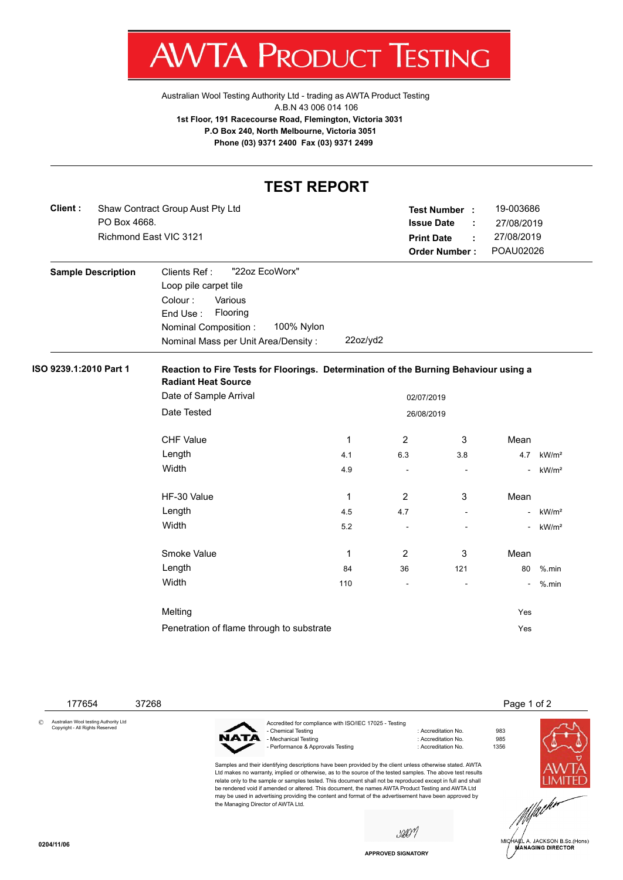

[Australian Wool Testing Authority Ltd - trading as AWTA Product Testing](http://www.awtaproducttesting.com.au/) A.B.N 43 006 014 106 **1st Floor, 191 Racecourse Road, Flemington, Victoria 3031 P.O Box 240, North Melbourne, Victoria 3051 Phone (03) 9371 2400 Fax (03) 9371 2499**

## **TEST REPORT**

| Client : | Shaw Contract Group Aust Pty Ltd | Test Number                    | <b>.</b>                 | 19-003686  |
|----------|----------------------------------|--------------------------------|--------------------------|------------|
|          | PO Box 4668.                     | <b>Issue Date</b>              | <b>Contractor</b>        | 27/08/2019 |
|          | Richmond East VIC 3121           | <b>Print Date</b>              | <b>Contract Contract</b> | 27/08/2019 |
|          |                                  | <b>Order Number: POAU02026</b> |                          |            |

| "22oz EcoWorx"<br>Clients Ref :     |                |
|-------------------------------------|----------------|
| Loop pile carpet tile               |                |
| Various<br>Colour :                 |                |
| Flooring<br>End Use:                |                |
| 100% Nylon<br>Nominal Composition:  |                |
| Nominal Mass per Unit Area/Density: | $22$ oz/yd $2$ |
|                                     |                |

## **ISO 9239.1:2010 Part 1 Reaction to Fire Tests for Floorings. Determination of the Burning Behaviour using a Radiant Heat Source**

|                                           |            | 02/07/2019               |                          |      |                   |
|-------------------------------------------|------------|--------------------------|--------------------------|------|-------------------|
| Date of Sample Arrival                    |            |                          |                          |      |                   |
| Date Tested                               | 26/08/2019 |                          |                          |      |                   |
|                                           |            |                          |                          |      |                   |
| <b>CHF Value</b>                          | 1          | $\overline{2}$           | 3                        | Mean |                   |
| Length                                    | 4.1        | 6.3                      | 3.8                      | 4.7  | kW/m <sup>2</sup> |
| Width                                     | 4.9        | $\overline{\phantom{0}}$ | $\overline{\phantom{a}}$ | -    | kW/m <sup>2</sup> |
|                                           |            |                          |                          |      |                   |
| HF-30 Value                               | 1          | $\overline{2}$           | 3                        | Mean |                   |
| Length                                    | 4.5        | 4.7                      | $\overline{\phantom{a}}$ |      | kW/m <sup>2</sup> |
| Width                                     | 5.2        | -                        | -                        |      | kW/m <sup>2</sup> |
|                                           |            |                          |                          |      |                   |
| Smoke Value                               | 1          | $\overline{2}$           | 3                        | Mean |                   |
| Length                                    | 84         | 36                       | 121                      | 80   | $%$ .min          |
| Width                                     | 110        | -                        | -                        | -    | $%$ .min          |
|                                           |            |                          |                          |      |                   |
| Melting                                   |            |                          |                          |      |                   |
| Penetration of flame through to substrate |            |                          |                          |      |                   |
|                                           | Yes        |                          |                          |      |                   |

177654 37268 Page 1 of 2

© Australian Wool testing Authority Ltd Copyright - All Rights Reserved

NATA

the Managing Director of AWTA Ltd.

Accredited for compliance with ISO/IEC 17025 - Testing - Chemical Testing : Accreditation No. 983<br>- Mechanical Testing : Accreditation No. 985<br>- Accreditation No. 985 - Mechanical Testing : Accreditation No. 985<br>- Performance & Approvals Testing : Accreditation No. 1356 - Performance & Approvals Testing

Samples and their identifying descriptions have been provided by the client unless otherwise stated. AWTA Ltd makes no warranty, implied or otherwise, as to the source of the tested samples. The above test results relate only to the sample or samples tested. This document shall not be reproduced except in full and shall be rendered void if amended or altered. This document, the names AWTA Product Testing and AWTA Ltd may be used in advertising providing the content and format of the advertisement have been approved by





.<br>IA∉L A. JACKSON B.Sc.(Hons)<br>MANAGING DIRECTOR

sport